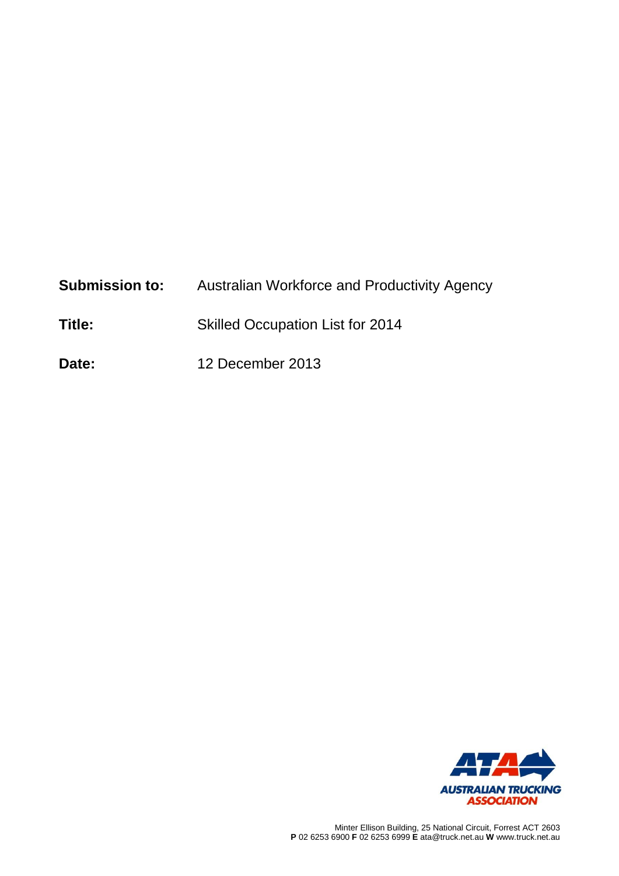| <b>Submission to:</b> | Australian Workforce and Productivity Agency |
|-----------------------|----------------------------------------------|
|-----------------------|----------------------------------------------|

- **Title:** Skilled Occupation List for 2014
- **Date:** 12 December 2013

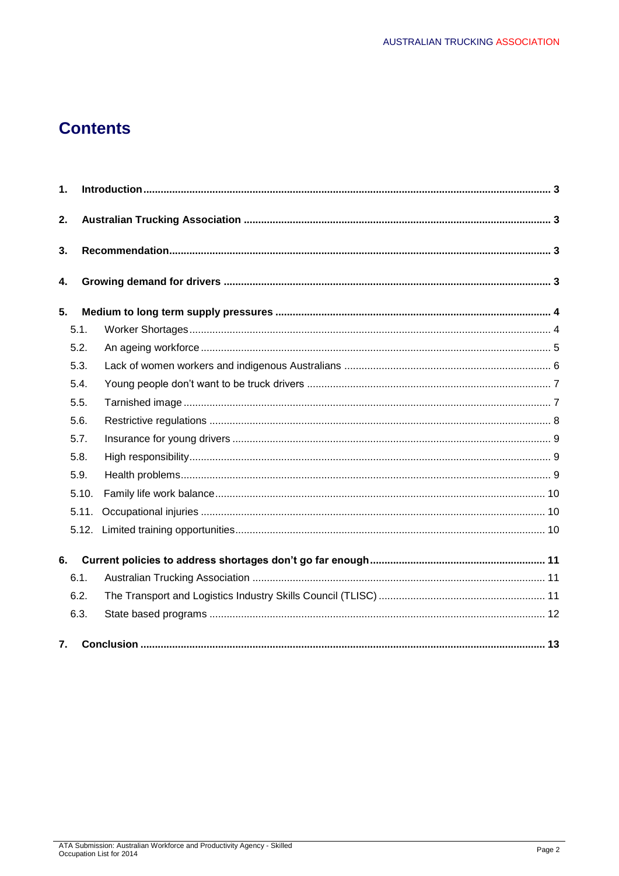# **Contents**

| 1. |       |  |  |  |  |  |
|----|-------|--|--|--|--|--|
| 2. |       |  |  |  |  |  |
| 3. |       |  |  |  |  |  |
| 4. |       |  |  |  |  |  |
| 5. |       |  |  |  |  |  |
|    | 5.1.  |  |  |  |  |  |
|    | 5.2.  |  |  |  |  |  |
|    | 5.3.  |  |  |  |  |  |
|    | 5.4.  |  |  |  |  |  |
|    | 5.5.  |  |  |  |  |  |
|    | 5.6.  |  |  |  |  |  |
|    | 5.7.  |  |  |  |  |  |
|    | 5.8.  |  |  |  |  |  |
|    | 5.9.  |  |  |  |  |  |
|    | 5.10. |  |  |  |  |  |
|    | 5.11. |  |  |  |  |  |
|    | 5.12. |  |  |  |  |  |
| 6. |       |  |  |  |  |  |
|    | 6.1.  |  |  |  |  |  |
|    | 6.2.  |  |  |  |  |  |
|    | 6.3.  |  |  |  |  |  |
| 7. |       |  |  |  |  |  |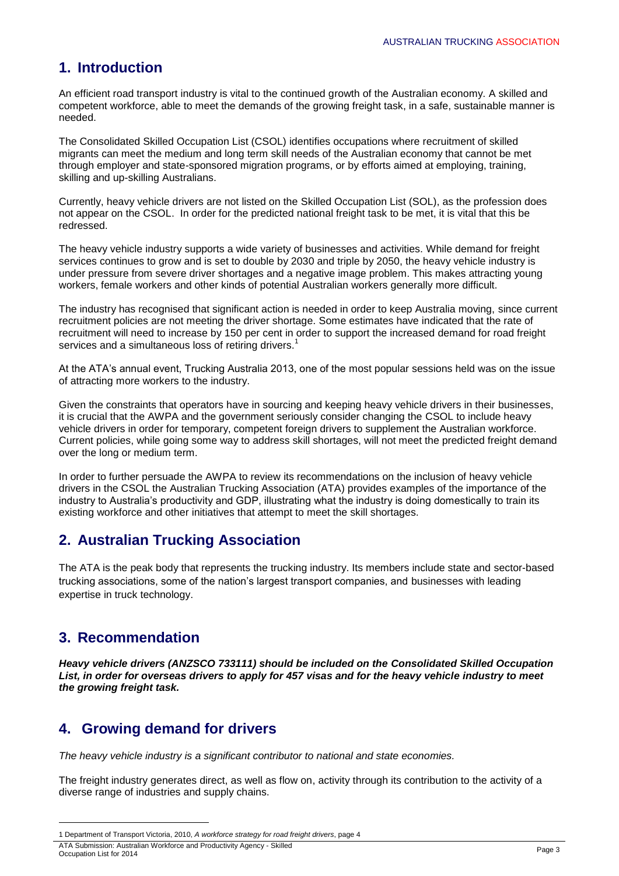## **1. Introduction**

An efficient road transport industry is vital to the continued growth of the Australian economy. A skilled and competent workforce, able to meet the demands of the growing freight task, in a safe, sustainable manner is needed.

The Consolidated Skilled Occupation List (CSOL) identifies occupations where recruitment of skilled migrants can meet the medium and long term skill needs of the Australian economy that cannot be met through employer and state-sponsored migration programs, or by efforts aimed at employing, training, skilling and up-skilling Australians.

Currently, heavy vehicle drivers are not listed on the Skilled Occupation List (SOL), as the profession does not appear on the CSOL. In order for the predicted national freight task to be met, it is vital that this be redressed.

The heavy vehicle industry supports a wide variety of businesses and activities. While demand for freight services continues to grow and is set to double by 2030 and triple by 2050, the heavy vehicle industry is under pressure from severe driver shortages and a negative image problem. This makes attracting young workers, female workers and other kinds of potential Australian workers generally more difficult.

The industry has recognised that significant action is needed in order to keep Australia moving, since current recruitment policies are not meeting the driver shortage. Some estimates have indicated that the rate of recruitment will need to increase by 150 per cent in order to support the increased demand for road freight services and a simultaneous loss of retiring drivers.<sup>1</sup>

At the ATA's annual event, Trucking Australia 2013, one of the most popular sessions held was on the issue of attracting more workers to the industry.

Given the constraints that operators have in sourcing and keeping heavy vehicle drivers in their businesses, it is crucial that the AWPA and the government seriously consider changing the CSOL to include heavy vehicle drivers in order for temporary, competent foreign drivers to supplement the Australian workforce. Current policies, while going some way to address skill shortages, will not meet the predicted freight demand over the long or medium term.

In order to further persuade the AWPA to review its recommendations on the inclusion of heavy vehicle drivers in the CSOL the Australian Trucking Association (ATA) provides examples of the importance of the industry to Australia's productivity and GDP, illustrating what the industry is doing domestically to train its existing workforce and other initiatives that attempt to meet the skill shortages.

## **2. Australian Trucking Association**

The ATA is the peak body that represents the trucking industry. Its members include state and sector-based trucking associations, some of the nation's largest transport companies, and businesses with leading expertise in truck technology.

## **3. Recommendation**

**.** 

*Heavy vehicle drivers (ANZSCO 733111) should be included on the Consolidated Skilled Occupation List, in order for overseas drivers to apply for 457 visas and for the heavy vehicle industry to meet the growing freight task.* 

## **4. Growing demand for drivers**

*The heavy vehicle industry is a significant contributor to national and state economies.*

The freight industry generates direct, as well as flow on, activity through its contribution to the activity of a diverse range of industries and supply chains.

<sup>1</sup> Department of Transport Victoria, 2010, *A workforce strategy for road freight drivers*, page 4

ATA Submission: Australian Workforce and Productivity Agency - Skilled ATA Submission: Australian Workforce and Productivity Agency - Skilled<br>Occupation List for 2014 Page 3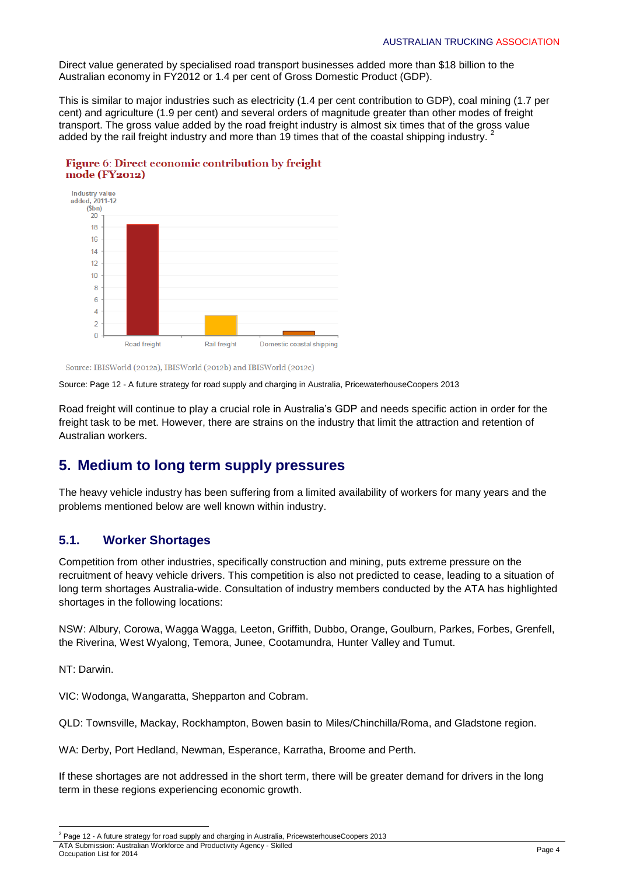Direct value generated by specialised road transport businesses added more than \$18 billion to the Australian economy in FY2012 or 1.4 per cent of Gross Domestic Product (GDP).

This is similar to major industries such as electricity (1.4 per cent contribution to GDP), coal mining (1.7 per cent) and agriculture (1.9 per cent) and several orders of magnitude greater than other modes of freight transport. The gross value added by the road freight industry is almost six times that of the gross value added by the rail freight industry and more than 19 times that of the coastal shipping industry. 2



#### Figure 6: Direct economic contribution by freight mode (FY2012)

Source: IBISWorld (2012a), IBISWorld (2012b) and IBISWorld (2012c)

Source: Page 12 - A future strategy for road supply and charging in Australia, PricewaterhouseCoopers 2013

Road freight will continue to play a crucial role in Australia's GDP and needs specific action in order for the freight task to be met. However, there are strains on the industry that limit the attraction and retention of Australian workers.

## **5. Medium to long term supply pressures**

The heavy vehicle industry has been suffering from a limited availability of workers for many years and the problems mentioned below are well known within industry.

#### **5.1. Worker Shortages**

Competition from other industries, specifically construction and mining, puts extreme pressure on the recruitment of heavy vehicle drivers. This competition is also not predicted to cease, leading to a situation of long term shortages Australia-wide. Consultation of industry members conducted by the ATA has highlighted shortages in the following locations:

NSW: Albury, Corowa, Wagga Wagga, Leeton, Griffith, Dubbo, Orange, Goulburn, Parkes, Forbes, Grenfell, the Riverina, West Wyalong, Temora, Junee, Cootamundra, Hunter Valley and Tumut.

NT: Darwin.

VIC: Wodonga, Wangaratta, Shepparton and Cobram.

QLD: Townsville, Mackay, Rockhampton, Bowen basin to Miles/Chinchilla/Roma, and Gladstone region.

WA: Derby, Port Hedland, Newman, Esperance, Karratha, Broome and Perth.

If these shortages are not addressed in the short term, there will be greater demand for drivers in the long term in these regions experiencing economic growth.

1

ATA Submission: Australian Workforce and Productivity Agency - Skilled Notice about the continuum of the contract of the contract of the contract of the contract of the contract of the Page 4<br>Occupation List for 2014  $2$  Page 12 - A future strategy for road supply and charging in Australia, PricewaterhouseCoopers 2013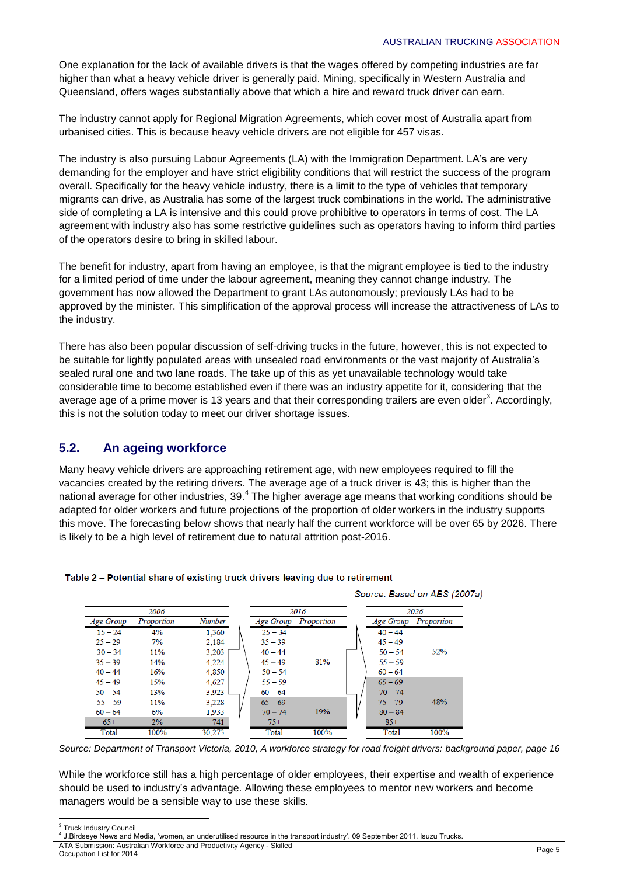One explanation for the lack of available drivers is that the wages offered by competing industries are far higher than what a heavy vehicle driver is generally paid. Mining, specifically in Western Australia and Queensland, offers wages substantially above that which a hire and reward truck driver can earn.

The industry cannot apply for Regional Migration Agreements, which cover most of Australia apart from urbanised cities. This is because heavy vehicle drivers are not eligible for 457 visas.

The industry is also pursuing Labour Agreements (LA) with the Immigration Department. LA's are very demanding for the employer and have strict eligibility conditions that will restrict the success of the program overall. Specifically for the heavy vehicle industry, there is a limit to the type of vehicles that temporary migrants can drive, as Australia has some of the largest truck combinations in the world. The administrative side of completing a LA is intensive and this could prove prohibitive to operators in terms of cost. The LA agreement with industry also has some restrictive guidelines such as operators having to inform third parties of the operators desire to bring in skilled labour.

The benefit for industry, apart from having an employee, is that the migrant employee is tied to the industry for a limited period of time under the labour agreement, meaning they cannot change industry. The government has now allowed the Department to grant LAs autonomously; previously LAs had to be approved by the minister. This simplification of the approval process will increase the attractiveness of LAs to the industry.

There has also been popular discussion of self-driving trucks in the future, however, this is not expected to be suitable for lightly populated areas with unsealed road environments or the vast majority of Australia's sealed rural one and two lane roads. The take up of this as yet unavailable technology would take considerable time to become established even if there was an industry appetite for it, considering that the average age of a prime mover is 13 years and that their corresponding trailers are even older<sup>3</sup>. Accordingly, this is not the solution today to meet our driver shortage issues.

#### **5.2. An ageing workforce**

Many heavy vehicle drivers are approaching retirement age, with new employees required to fill the vacancies created by the retiring drivers. The average age of a truck driver is 43; this is higher than the national average for other industries, 39.<sup>4</sup> The higher average age means that working conditions should be adapted for older workers and future projections of the proportion of older workers in the industry supports this move. The forecasting below shows that nearly half the current workforce will be over 65 by 2026. There is likely to be a high level of retirement due to natural attrition post-2016.



#### Table 2 - Potential share of existing truck drivers leaving due to retirement

*Source: Department of Transport Victoria, 2010, A workforce strategy for road freight drivers: background paper, page 16*

While the workforce still has a high percentage of older employees, their expertise and wealth of experience should be used to industry's advantage. Allowing these employees to mentor new workers and become managers would be a sensible way to use these skills.

<sup>&</sup>lt;u>and the matrice of the set of the set of the set of the set of the set of the set of the set of the set of the s</u>

<sup>4</sup> J.Birdseye News and Media, 'women, an underutilised resource in the transport industry'. 09 September 2011. Isuzu Trucks.

ATA Submission: Australian Workforce and Productivity Agency - Skilled Notice about the continuum of the contract of the contract of the contract of the contract of the contract of the Page 5<br>Occupation List for 2014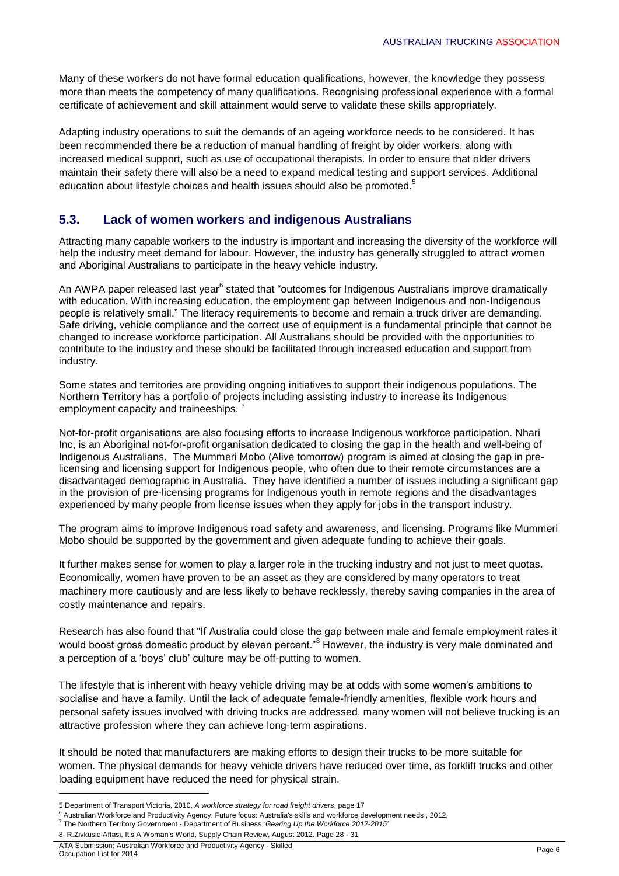Many of these workers do not have formal education qualifications, however, the knowledge they possess more than meets the competency of many qualifications. Recognising professional experience with a formal certificate of achievement and skill attainment would serve to validate these skills appropriately.

Adapting industry operations to suit the demands of an ageing workforce needs to be considered. It has been recommended there be a reduction of manual handling of freight by older workers, along with increased medical support, such as use of occupational therapists. In order to ensure that older drivers maintain their safety there will also be a need to expand medical testing and support services. Additional education about lifestyle choices and health issues should also be promoted.<sup>5</sup>

### **5.3. Lack of women workers and indigenous Australians**

Attracting many capable workers to the industry is important and increasing the diversity of the workforce will help the industry meet demand for labour. However, the industry has generally struggled to attract women and Aboriginal Australians to participate in the heavy vehicle industry.

An AWPA paper released last year<sup>6</sup> stated that "outcomes for Indigenous Australians improve dramatically with education. With increasing education, the employment gap between Indigenous and non-Indigenous people is relatively small." The literacy requirements to become and remain a truck driver are demanding. Safe driving, vehicle compliance and the correct use of equipment is a fundamental principle that cannot be changed to increase workforce participation. All Australians should be provided with the opportunities to contribute to the industry and these should be facilitated through increased education and support from industry.

Some states and territories are providing ongoing initiatives to support their indigenous populations. The Northern Territory has a portfolio of projects including assisting industry to increase its Indigenous employment capacity and traineeships.<sup>7</sup>

Not-for-profit organisations are also focusing efforts to increase Indigenous workforce participation. Nhari Inc, is an Aboriginal not-for-profit organisation dedicated to closing the gap in the health and well-being of Indigenous Australians. The Mummeri Mobo (Alive tomorrow) program is aimed at closing the gap in prelicensing and licensing support for Indigenous people, who often due to their remote circumstances are a disadvantaged demographic in Australia. They have identified a number of issues including a significant gap in the provision of pre-licensing programs for Indigenous youth in remote regions and the disadvantages experienced by many people from license issues when they apply for jobs in the transport industry.

The program aims to improve Indigenous road safety and awareness, and licensing. Programs like Mummeri Mobo should be supported by the government and given adequate funding to achieve their goals.

It further makes sense for women to play a larger role in the trucking industry and not just to meet quotas. Economically, women have proven to be an asset as they are considered by many operators to treat machinery more cautiously and are less likely to behave recklessly, thereby saving companies in the area of costly maintenance and repairs.

Research has also found that "If Australia could close the gap between male and female employment rates it would boost gross domestic product by eleven percent.<sup>8</sup> However, the industry is very male dominated and a perception of a 'boys' club' culture may be off-putting to women.

The lifestyle that is inherent with heavy vehicle driving may be at odds with some women's ambitions to socialise and have a family. Until the lack of adequate female-friendly amenities, flexible work hours and personal safety issues involved with driving trucks are addressed, many women will not believe trucking is an attractive profession where they can achieve long-term aspirations.

It should be noted that manufacturers are making efforts to design their trucks to be more suitable for women. The physical demands for heavy vehicle drivers have reduced over time, as forklift trucks and other loading equipment have reduced the need for physical strain.

**.** 

<sup>5</sup> Department of Transport Victoria, 2010, *A workforce strategy for road freight drivers*, page 17

<sup>6</sup> Australian Workforce and Productivity Agency: Future focus: Australia's skills and workforce development needs , 2012,

<sup>7</sup> The Northern Territory Government - Department of Business *'Gearing Up the Workforce 2012-2015'* 8 R.Zivkusic-Aftasi, It's A Woman's World, Supply Chain Review, August 2012. Page 28 - 31

ATA Submission: Australian Workforce and Productivity Agency - Skilled<br>Occupation List for 2014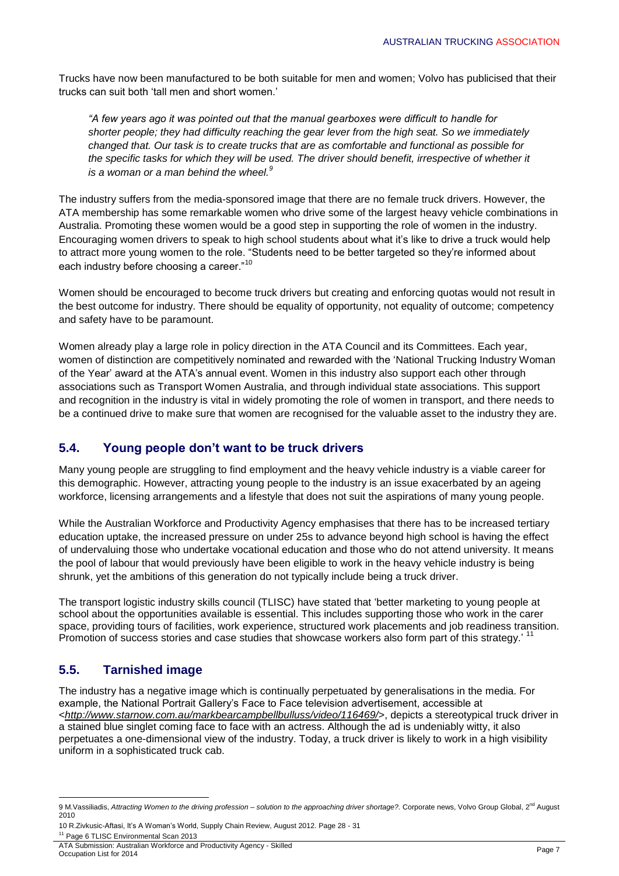Trucks have now been manufactured to be both suitable for men and women; Volvo has publicised that their trucks can suit both 'tall men and short women.'

*"A few years ago it was pointed out that the manual gearboxes were difficult to handle for shorter people; they had difficulty reaching the gear lever from the high seat. So we immediately changed that. Our task is to create trucks that are as comfortable and functional as possible for the specific tasks for which they will be used. The driver should benefit, irrespective of whether it is a woman or a man behind the wheel.<sup>9</sup>*

The industry suffers from the media-sponsored image that there are no female truck drivers. However, the ATA membership has some remarkable women who drive some of the largest heavy vehicle combinations in Australia. Promoting these women would be a good step in supporting the role of women in the industry. Encouraging women drivers to speak to high school students about what it's like to drive a truck would help to attract more young women to the role. "Students need to be better targeted so they're informed about each industry before choosing a career."<sup>10</sup>

Women should be encouraged to become truck drivers but creating and enforcing quotas would not result in the best outcome for industry. There should be equality of opportunity, not equality of outcome; competency and safety have to be paramount.

Women already play a large role in policy direction in the ATA Council and its Committees. Each year, women of distinction are competitively nominated and rewarded with the 'National Trucking Industry Woman of the Year' award at the ATA's annual event. Women in this industry also support each other through associations such as Transport Women Australia, and through individual state associations. This support and recognition in the industry is vital in widely promoting the role of women in transport, and there needs to be a continued drive to make sure that women are recognised for the valuable asset to the industry they are.

#### **5.4. Young people don't want to be truck drivers**

Many young people are struggling to find employment and the heavy vehicle industry is a viable career for this demographic. However, attracting young people to the industry is an issue exacerbated by an ageing workforce, licensing arrangements and a lifestyle that does not suit the aspirations of many young people.

While the Australian Workforce and Productivity Agency emphasises that there has to be increased tertiary education uptake, the increased pressure on under 25s to advance beyond high school is having the effect of undervaluing those who undertake vocational education and those who do not attend university. It means the pool of labour that would previously have been eligible to work in the heavy vehicle industry is being shrunk, yet the ambitions of this generation do not typically include being a truck driver.

The transport logistic industry skills council (TLISC) have stated that 'better marketing to young people at school about the opportunities available is essential. This includes supporting those who work in the carer space, providing tours of facilities, work experience, structured work placements and job readiness transition. Promotion of success stories and case studies that showcase workers also form part of this strategy.' <sup>11</sup>

### **5.5. Tarnished image**

The industry has a negative image which is continually perpetuated by generalisations in the media. For example, the National Portrait Gallery's Face to Face television advertisement, accessible at <*<http://www.starnow.com.au/markbearcampbellbulluss/video/116469/>*>, depicts a stereotypical truck driver in a stained blue singlet coming face to face with an actress. Although the ad is undeniably witty, it also perpetuates a one-dimensional view of the industry. Today, a truck driver is likely to work in a high visibility uniform in a sophisticated truck cab.

<sup>1</sup> 9 M.Vassiliadis, Attracting Women to the driving profession – solution to the approaching driver shortage?. Corporate news, Volvo Group Global, 2<sup>nd</sup> August 2010

<sup>10</sup> R.Zivkusic-Aftasi, It's A Woman's World, Supply Chain Review, August 2012. Page 28 - 31

ATA Submission: Australian Workforce and Productivity Agency - Skilled Notice about the continuum of the contract of the contract of the contract of the contract of the contract of the Page 7<br>Occupation List for 2014 <sup>11</sup> Page 6 TLISC Environmental Scan 2013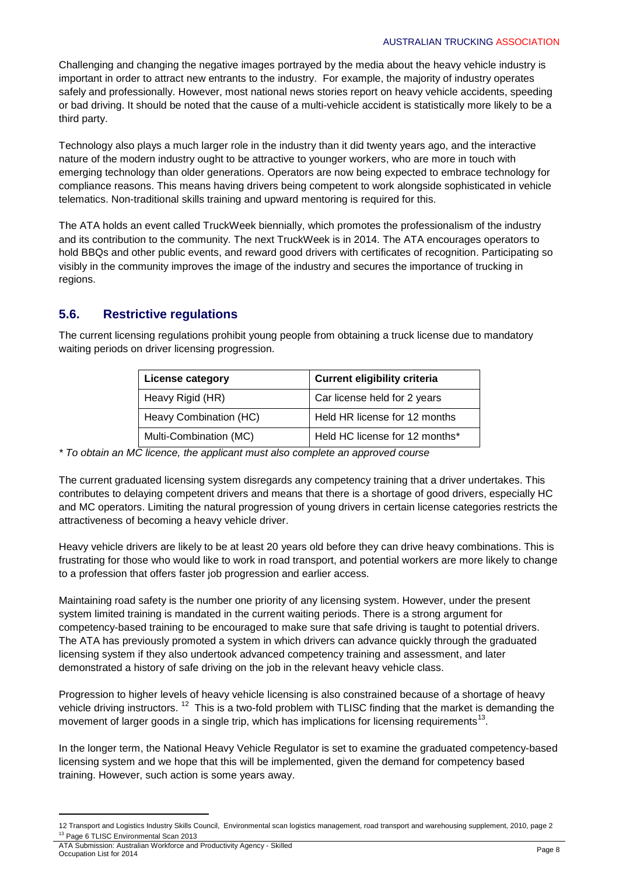Challenging and changing the negative images portrayed by the media about the heavy vehicle industry is important in order to attract new entrants to the industry. For example, the majority of industry operates safely and professionally. However, most national news stories report on heavy vehicle accidents, speeding or bad driving. It should be noted that the cause of a multi-vehicle accident is statistically more likely to be a third party.

Technology also plays a much larger role in the industry than it did twenty years ago, and the interactive nature of the modern industry ought to be attractive to younger workers, who are more in touch with emerging technology than older generations. Operators are now being expected to embrace technology for compliance reasons. This means having drivers being competent to work alongside sophisticated in vehicle telematics. Non-traditional skills training and upward mentoring is required for this.

The ATA holds an event called TruckWeek biennially, which promotes the professionalism of the industry and its contribution to the community. The next TruckWeek is in 2014. The ATA encourages operators to hold BBQs and other public events, and reward good drivers with certificates of recognition. Participating so visibly in the community improves the image of the industry and secures the importance of trucking in regions.

### **5.6. Restrictive regulations**

The current licensing regulations prohibit young people from obtaining a truck license due to mandatory waiting periods on driver licensing progression.

| <b>License category</b> | <b>Current eligibility criteria</b> |  |
|-------------------------|-------------------------------------|--|
| Heavy Rigid (HR)        | Car license held for 2 years        |  |
| Heavy Combination (HC)  | Held HR license for 12 months       |  |
| Multi-Combination (MC)  | Held HC license for 12 months*      |  |

*\* To obtain an MC licence, the applicant must also complete an approved course*

The current graduated licensing system disregards any competency training that a driver undertakes. This contributes to delaying competent drivers and means that there is a shortage of good drivers, especially HC and MC operators. Limiting the natural progression of young drivers in certain license categories restricts the attractiveness of becoming a heavy vehicle driver.

Heavy vehicle drivers are likely to be at least 20 years old before they can drive heavy combinations. This is frustrating for those who would like to work in road transport, and potential workers are more likely to change to a profession that offers faster job progression and earlier access.

Maintaining road safety is the number one priority of any licensing system. However, under the present system limited training is mandated in the current waiting periods. There is a strong argument for competency-based training to be encouraged to make sure that safe driving is taught to potential drivers. The ATA has previously promoted a system in which drivers can advance quickly through the graduated licensing system if they also undertook advanced competency training and assessment, and later demonstrated a history of safe driving on the job in the relevant heavy vehicle class.

Progression to higher levels of heavy vehicle licensing is also constrained because of a shortage of heavy vehicle driving instructors. <sup>12</sup> This is a two-fold problem with TLISC finding that the market is demanding the movement of larger goods in a single trip, which has implications for licensing requirements<sup>13</sup>.

In the longer term, the National Heavy Vehicle Regulator is set to examine the graduated competency-based licensing system and we hope that this will be implemented, given the demand for competency based training. However, such action is some years away.

1

<sup>12</sup> Transport and Logistics Industry Skills Council, Environmental scan logistics management, road transport and warehousing supplement, 2010, page 2 <sup>13</sup> Page 6 TLISC Environmental Scan 2013

ATA Submission: Australian Workforce and Productivity Agency - Skilled Not capital container workloads and inducently rigering community of the control of the control of the Page 8 Page 8 Page 8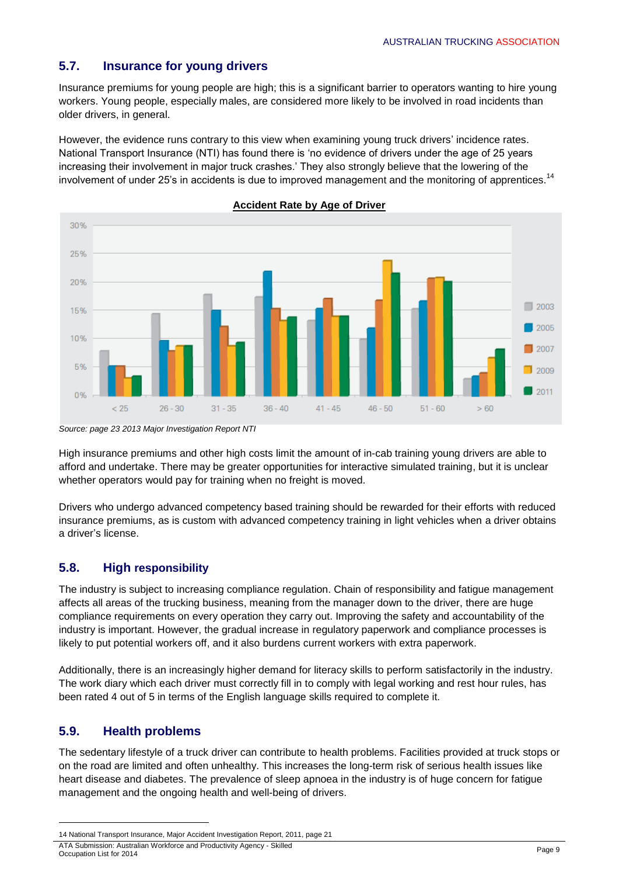### **5.7. Insurance for young drivers**

Insurance premiums for young people are high; this is a significant barrier to operators wanting to hire young workers. Young people, especially males, are considered more likely to be involved in road incidents than older drivers, in general.

However, the evidence runs contrary to this view when examining young truck drivers' incidence rates. National Transport Insurance (NTI) has found there is 'no evidence of drivers under the age of 25 years increasing their involvement in major truck crashes.' They also strongly believe that the lowering of the involvement of under 25's in accidents is due to improved management and the monitoring of apprentices.<sup>14</sup>



**Accident Rate by Age of Driver**

High insurance premiums and other high costs limit the amount of in-cab training young drivers are able to afford and undertake. There may be greater opportunities for interactive simulated training, but it is unclear whether operators would pay for training when no freight is moved.

Drivers who undergo advanced competency based training should be rewarded for their efforts with reduced insurance premiums, as is custom with advanced competency training in light vehicles when a driver obtains a driver's license.

#### **5.8. High responsibility**

The industry is subject to increasing compliance regulation. Chain of responsibility and fatigue management affects all areas of the trucking business, meaning from the manager down to the driver, there are huge compliance requirements on every operation they carry out. Improving the safety and accountability of the industry is important. However, the gradual increase in regulatory paperwork and compliance processes is likely to put potential workers off, and it also burdens current workers with extra paperwork.

Additionally, there is an increasingly higher demand for literacy skills to perform satisfactorily in the industry. The work diary which each driver must correctly fill in to comply with legal working and rest hour rules, has been rated 4 out of 5 in terms of the English language skills required to complete it.

### **5.9. Health problems**

**.** 

The sedentary lifestyle of a truck driver can contribute to health problems. Facilities provided at truck stops or on the road are limited and often unhealthy. This increases the long-term risk of serious health issues like heart disease and diabetes. The prevalence of sleep apnoea in the industry is of huge concern for fatigue management and the ongoing health and well-being of drivers.

*Source: page 23 2013 Major Investigation Report NTI*

<sup>14</sup> National Transport Insurance, Major Accident Investigation Report, 2011, page 21

ATA Submission: Australian Workforce and Productivity Agency - Skilled<br>Occupation List for 2014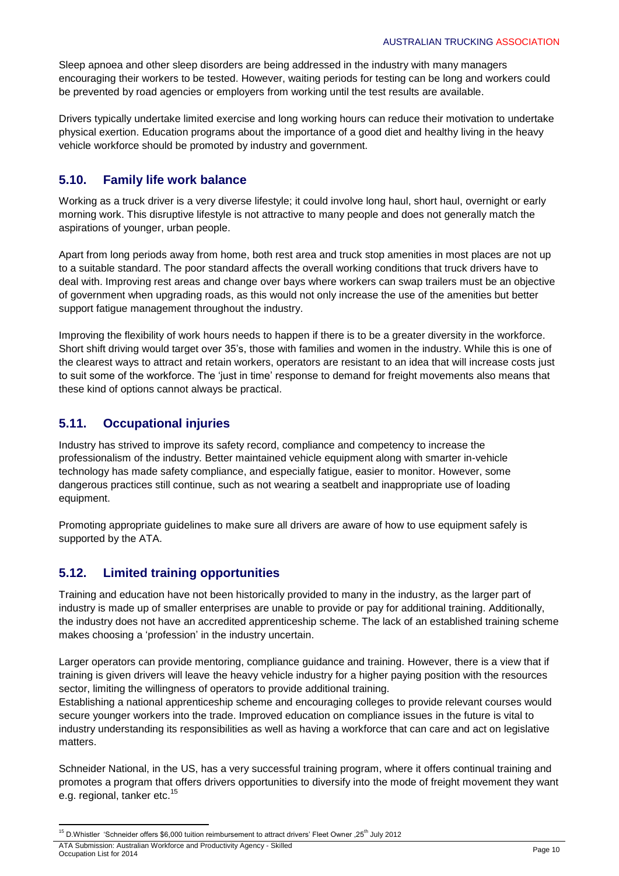Sleep apnoea and other sleep disorders are being addressed in the industry with many managers encouraging their workers to be tested. However, waiting periods for testing can be long and workers could be prevented by road agencies or employers from working until the test results are available.

Drivers typically undertake limited exercise and long working hours can reduce their motivation to undertake physical exertion. Education programs about the importance of a good diet and healthy living in the heavy vehicle workforce should be promoted by industry and government.

### **5.10. Family life work balance**

Working as a truck driver is a very diverse lifestyle; it could involve long haul, short haul, overnight or early morning work. This disruptive lifestyle is not attractive to many people and does not generally match the aspirations of younger, urban people.

Apart from long periods away from home, both rest area and truck stop amenities in most places are not up to a suitable standard. The poor standard affects the overall working conditions that truck drivers have to deal with. Improving rest areas and change over bays where workers can swap trailers must be an objective of government when upgrading roads, as this would not only increase the use of the amenities but better support fatigue management throughout the industry.

Improving the flexibility of work hours needs to happen if there is to be a greater diversity in the workforce. Short shift driving would target over 35's, those with families and women in the industry. While this is one of the clearest ways to attract and retain workers, operators are resistant to an idea that will increase costs just to suit some of the workforce. The 'just in time' response to demand for freight movements also means that these kind of options cannot always be practical.

### **5.11. Occupational injuries**

Industry has strived to improve its safety record, compliance and competency to increase the professionalism of the industry. Better maintained vehicle equipment along with smarter in-vehicle technology has made safety compliance, and especially fatigue, easier to monitor. However, some dangerous practices still continue, such as not wearing a seatbelt and inappropriate use of loading equipment.

Promoting appropriate guidelines to make sure all drivers are aware of how to use equipment safely is supported by the ATA.

### **5.12. Limited training opportunities**

Training and education have not been historically provided to many in the industry, as the larger part of industry is made up of smaller enterprises are unable to provide or pay for additional training. Additionally, the industry does not have an accredited apprenticeship scheme. The lack of an established training scheme makes choosing a 'profession' in the industry uncertain.

Larger operators can provide mentoring, compliance guidance and training. However, there is a view that if training is given drivers will leave the heavy vehicle industry for a higher paying position with the resources sector, limiting the willingness of operators to provide additional training.

Establishing a national apprenticeship scheme and encouraging colleges to provide relevant courses would secure younger workers into the trade. Improved education on compliance issues in the future is vital to industry understanding its responsibilities as well as having a workforce that can care and act on legislative matters.

Schneider National, in the US, has a very successful training program, where it offers continual training and promotes a program that offers drivers opportunities to diversify into the mode of freight movement they want e.g. regional, tanker etc.<sup>15</sup>

**<sup>.</sup>** <sup>15</sup> D.Whistler 'Schneider offers \$6,000 tuition reimbursement to attract drivers' Fleet Owner ,25<sup>th</sup> July 2012

ATA Submission: Australian Workforce and Productivity Agency - Skilled Occupation List for 2014 Page 10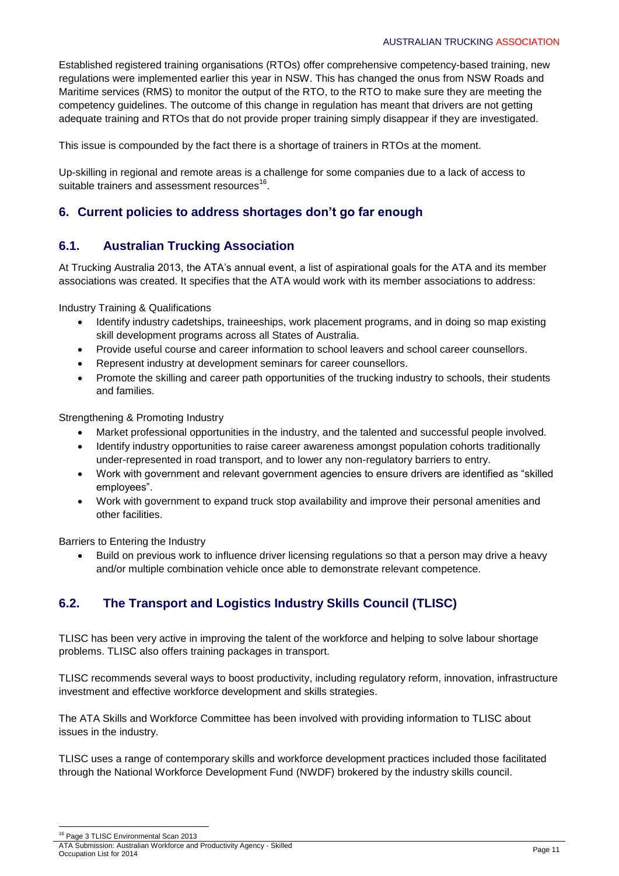Established registered training organisations (RTOs) offer comprehensive competency-based training, new regulations were implemented earlier this year in NSW. This has changed the onus from NSW Roads and Maritime services (RMS) to monitor the output of the RTO, to the RTO to make sure they are meeting the competency guidelines. The outcome of this change in regulation has meant that drivers are not getting adequate training and RTOs that do not provide proper training simply disappear if they are investigated.

This issue is compounded by the fact there is a shortage of trainers in RTOs at the moment.

Up-skilling in regional and remote areas is a challenge for some companies due to a lack of access to suitable trainers and assessment resources<sup>16</sup>.

### **6. Current policies to address shortages don't go far enough**

### **6.1. Australian Trucking Association**

At Trucking Australia 2013, the ATA's annual event, a list of aspirational goals for the ATA and its member associations was created. It specifies that the ATA would work with its member associations to address:

Industry Training & Qualifications

- Identify industry cadetships, traineeships, work placement programs, and in doing so map existing skill development programs across all States of Australia.
- Provide useful course and career information to school leavers and school career counsellors.
- Represent industry at development seminars for career counsellors.
- Promote the skilling and career path opportunities of the trucking industry to schools, their students and families.

Strengthening & Promoting Industry

- Market professional opportunities in the industry, and the talented and successful people involved.
- Identify industry opportunities to raise career awareness amongst population cohorts traditionally under-represented in road transport, and to lower any non-regulatory barriers to entry.
- Work with government and relevant government agencies to ensure drivers are identified as "skilled employees".
- Work with government to expand truck stop availability and improve their personal amenities and other facilities.

Barriers to Entering the Industry

 Build on previous work to influence driver licensing regulations so that a person may drive a heavy and/or multiple combination vehicle once able to demonstrate relevant competence.

## **6.2. The Transport and Logistics Industry Skills Council (TLISC)**

TLISC has been very active in improving the talent of the workforce and helping to solve labour shortage problems. TLISC also offers training packages in transport.

TLISC recommends several ways to boost productivity, including regulatory reform, innovation, infrastructure investment and effective workforce development and skills strategies.

The ATA Skills and Workforce Committee has been involved with providing information to TLISC about issues in the industry.

TLISC uses a range of contemporary skills and workforce development practices included those facilitated through the National Workforce Development Fund (NWDF) brokered by the industry skills council.

<sup>1</sup> <sup>16</sup> Page 3 TLISC Environmental Scan 2013

ATA Submission: Australian Workforce and Productivity Agency - Skilled Occupation List for 2014 Page 11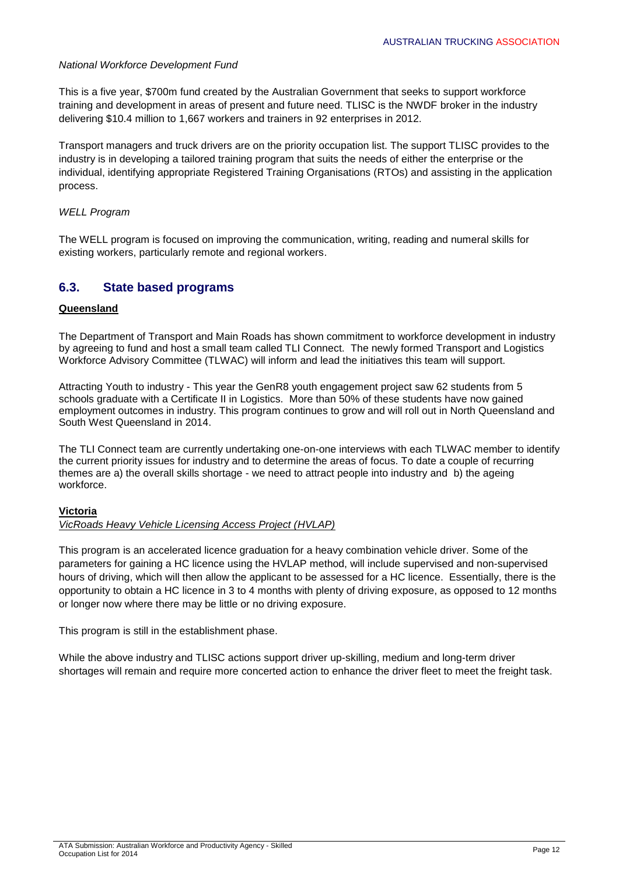#### *National Workforce Development Fund*

This is a five year, \$700m fund created by the Australian Government that seeks to support workforce training and development in areas of present and future need. TLISC is the NWDF broker in the industry delivering \$10.4 million to 1,667 workers and trainers in 92 enterprises in 2012.

Transport managers and truck drivers are on the priority occupation list. The support TLISC provides to the industry is in developing a tailored training program that suits the needs of either the enterprise or the individual, identifying appropriate Registered Training Organisations (RTOs) and assisting in the application process.

#### *WELL Program*

The WELL program is focused on improving the communication, writing, reading and numeral skills for existing workers, particularly remote and regional workers.

#### **6.3. State based programs**

#### **Queensland**

The Department of Transport and Main Roads has shown commitment to workforce development in industry by agreeing to fund and host a small team called TLI Connect. The newly formed Transport and Logistics Workforce Advisory Committee (TLWAC) will inform and lead the initiatives this team will support.

Attracting Youth to industry - This year the GenR8 youth engagement project saw 62 students from 5 schools graduate with a Certificate II in Logistics. More than 50% of these students have now gained employment outcomes in industry. This program continues to grow and will roll out in North Queensland and South West Queensland in 2014.

The TLI Connect team are currently undertaking one-on-one interviews with each TLWAC member to identify the current priority issues for industry and to determine the areas of focus. To date a couple of recurring themes are a) the overall skills shortage - we need to attract people into industry and b) the ageing workforce.

#### **Victoria**

#### *VicRoads Heavy Vehicle Licensing Access Project (HVLAP)*

This program is an accelerated licence graduation for a heavy combination vehicle driver. Some of the parameters for gaining a HC licence using the HVLAP method, will include supervised and non-supervised hours of driving, which will then allow the applicant to be assessed for a HC licence. Essentially, there is the opportunity to obtain a HC licence in 3 to 4 months with plenty of driving exposure, as opposed to 12 months or longer now where there may be little or no driving exposure.

This program is still in the establishment phase.

While the above industry and TLISC actions support driver up-skilling, medium and long-term driver shortages will remain and require more concerted action to enhance the driver fleet to meet the freight task.